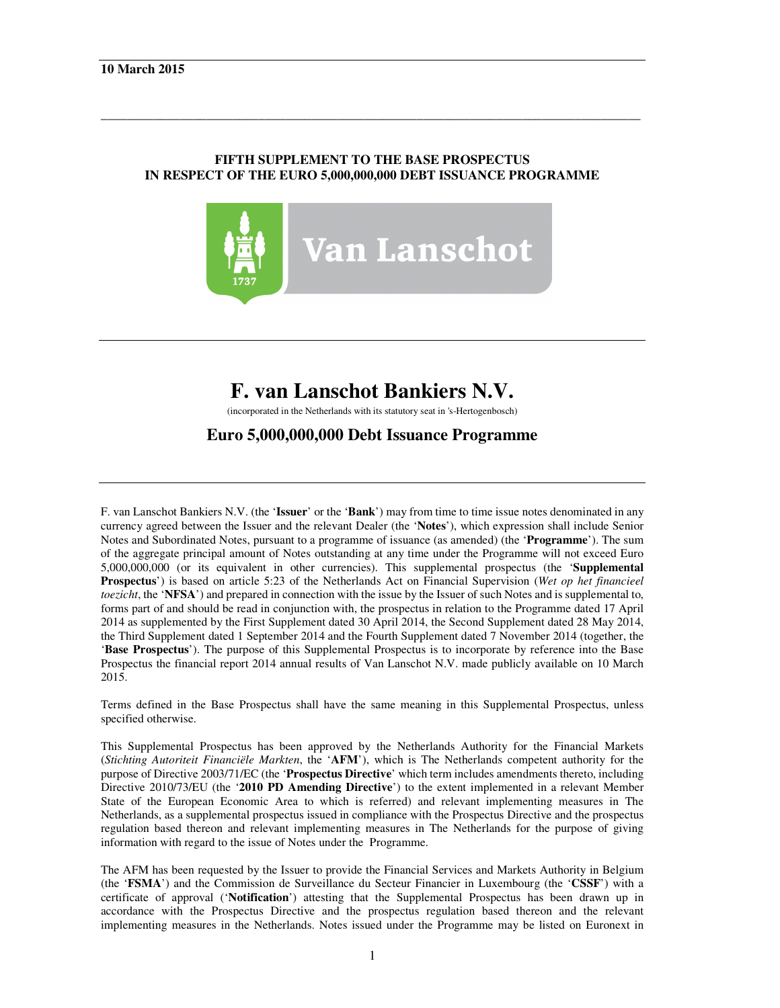# **FIFTH SUPPLEMENT TO THE BASE PROSPECTUS IN RESPECT OF THE EURO 5,000,000,000 DEBT ISSUANCE PROGRAMME**

\_\_\_\_\_\_\_\_\_\_\_\_\_\_\_\_\_\_\_\_\_\_\_\_\_\_\_\_\_\_\_\_\_\_\_\_\_\_\_\_\_\_\_\_\_\_\_\_\_\_\_\_\_\_\_\_\_\_\_\_\_\_\_\_\_\_\_\_\_\_\_\_\_\_\_\_\_\_\_\_\_\_



# **F. van Lanschot Bankiers N.V.**

(incorporated in the Netherlands with its statutory seat in 's-Hertogenbosch)

# **Euro 5,000,000,000 Debt Issuance Programme**

F. van Lanschot Bankiers N.V. (the '**Issuer**' or the '**Bank**') may from time to time issue notes denominated in any currency agreed between the Issuer and the relevant Dealer (the '**Notes**'), which expression shall include Senior Notes and Subordinated Notes, pursuant to a programme of issuance (as amended) (the '**Programme**'). The sum of the aggregate principal amount of Notes outstanding at any time under the Programme will not exceed Euro 5,000,000,000 (or its equivalent in other currencies). This supplemental prospectus (the '**Supplemental Prospectus**') is based on article 5:23 of the Netherlands Act on Financial Supervision (*Wet op het financieel toezicht*, the '**NFSA**') and prepared in connection with the issue by the Issuer of such Notes and is supplemental to, forms part of and should be read in conjunction with, the prospectus in relation to the Programme dated 17 April 2014 as supplemented by the First Supplement dated 30 April 2014, the Second Supplement dated 28 May 2014, the Third Supplement dated 1 September 2014 and the Fourth Supplement dated 7 November 2014 (together, the '**Base Prospectus**'). The purpose of this Supplemental Prospectus is to incorporate by reference into the Base Prospectus the financial report 2014 annual results of Van Lanschot N.V. made publicly available on 10 March 2015.

Terms defined in the Base Prospectus shall have the same meaning in this Supplemental Prospectus, unless specified otherwise.

This Supplemental Prospectus has been approved by the Netherlands Authority for the Financial Markets (*Stichting Autoriteit Financiële Markten*, the '**AFM**'), which is The Netherlands competent authority for the purpose of Directive 2003/71/EC (the '**Prospectus Directive**' which term includes amendments thereto, including Directive 2010/73/EU (the '**2010 PD Amending Directive**') to the extent implemented in a relevant Member State of the European Economic Area to which is referred) and relevant implementing measures in The Netherlands, as a supplemental prospectus issued in compliance with the Prospectus Directive and the prospectus regulation based thereon and relevant implementing measures in The Netherlands for the purpose of giving information with regard to the issue of Notes under the Programme.

The AFM has been requested by the Issuer to provide the Financial Services and Markets Authority in Belgium (the '**FSMA**') and the Commission de Surveillance du Secteur Financier in Luxembourg (the '**CSSF**') with a certificate of approval ('**Notification**') attesting that the Supplemental Prospectus has been drawn up in accordance with the Prospectus Directive and the prospectus regulation based thereon and the relevant implementing measures in the Netherlands. Notes issued under the Programme may be listed on Euronext in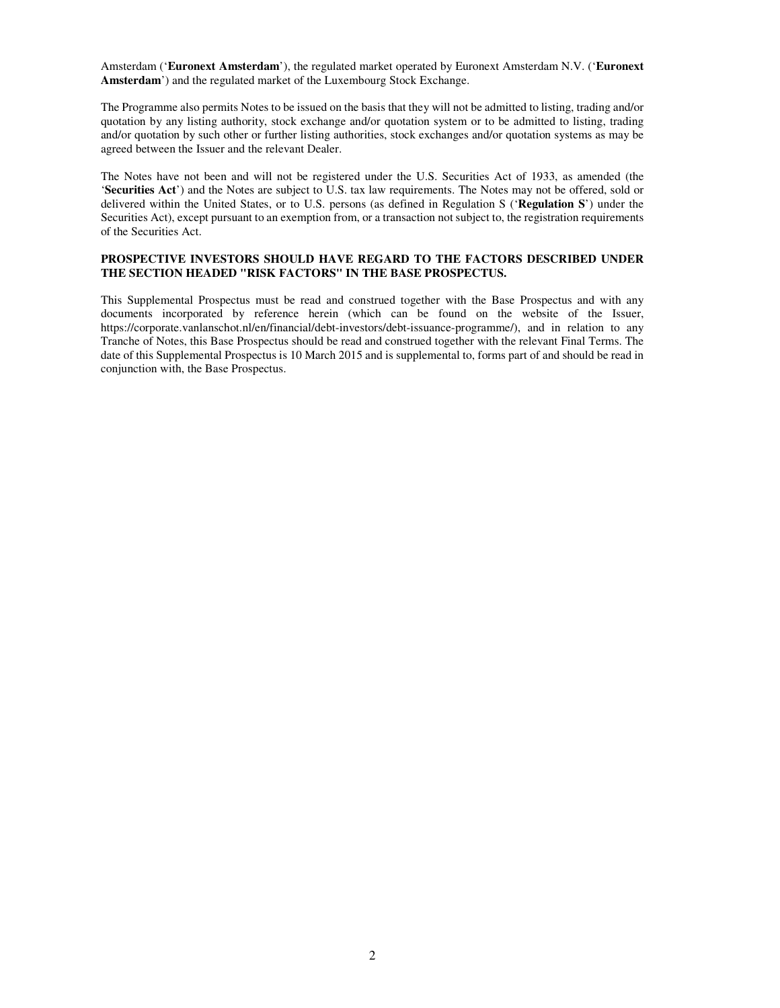Amsterdam ('**Euronext Amsterdam**'), the regulated market operated by Euronext Amsterdam N.V. ('**Euronext Amsterdam**') and the regulated market of the Luxembourg Stock Exchange.

The Programme also permits Notes to be issued on the basis that they will not be admitted to listing, trading and/or quotation by any listing authority, stock exchange and/or quotation system or to be admitted to listing, trading and/or quotation by such other or further listing authorities, stock exchanges and/or quotation systems as may be agreed between the Issuer and the relevant Dealer.

The Notes have not been and will not be registered under the U.S. Securities Act of 1933, as amended (the '**Securities Act**') and the Notes are subject to U.S. tax law requirements. The Notes may not be offered, sold or delivered within the United States, or to U.S. persons (as defined in Regulation S ('**Regulation S**') under the Securities Act), except pursuant to an exemption from, or a transaction not subject to, the registration requirements of the Securities Act.

#### **PROSPECTIVE INVESTORS SHOULD HAVE REGARD TO THE FACTORS DESCRIBED UNDER THE SECTION HEADED "RISK FACTORS" IN THE BASE PROSPECTUS.**

This Supplemental Prospectus must be read and construed together with the Base Prospectus and with any documents incorporated by reference herein (which can be found on the website of the Issuer, https://corporate.vanlanschot.nl/en/financial/debt-investors/debt-issuance-programme/), and in relation to any Tranche of Notes, this Base Prospectus should be read and construed together with the relevant Final Terms. The date of this Supplemental Prospectus is 10 March 2015 and is supplemental to, forms part of and should be read in conjunction with, the Base Prospectus.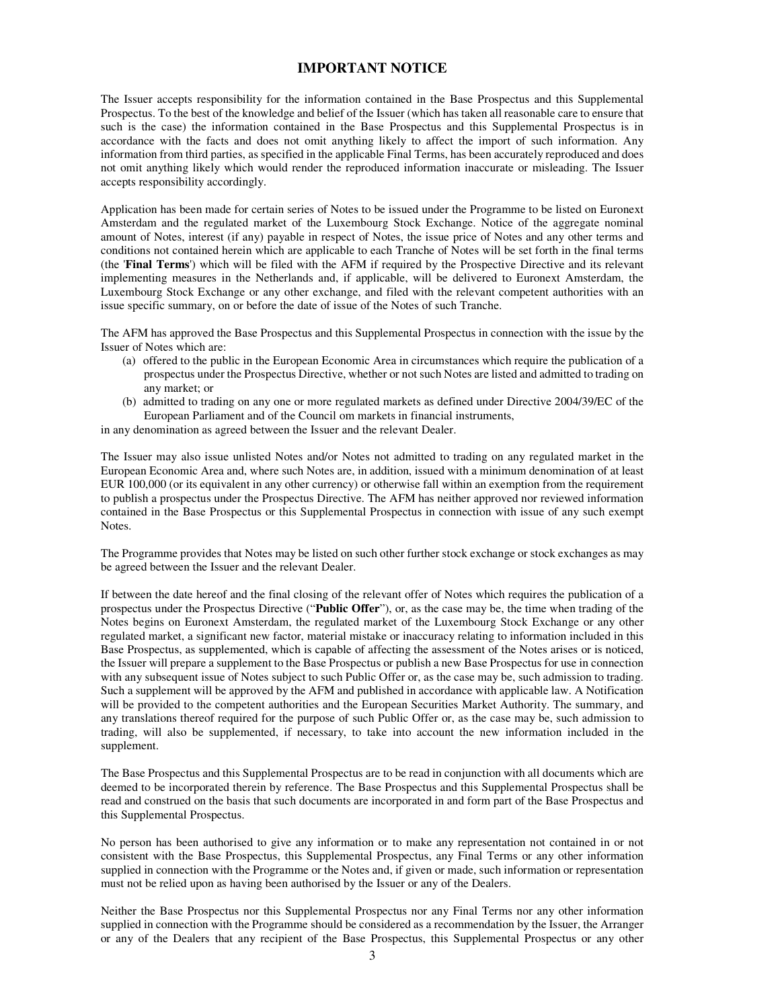## **IMPORTANT NOTICE**

The Issuer accepts responsibility for the information contained in the Base Prospectus and this Supplemental Prospectus. To the best of the knowledge and belief of the Issuer (which has taken all reasonable care to ensure that such is the case) the information contained in the Base Prospectus and this Supplemental Prospectus is in accordance with the facts and does not omit anything likely to affect the import of such information. Any information from third parties, as specified in the applicable Final Terms, has been accurately reproduced and does not omit anything likely which would render the reproduced information inaccurate or misleading. The Issuer accepts responsibility accordingly.

Application has been made for certain series of Notes to be issued under the Programme to be listed on Euronext Amsterdam and the regulated market of the Luxembourg Stock Exchange. Notice of the aggregate nominal amount of Notes, interest (if any) payable in respect of Notes, the issue price of Notes and any other terms and conditions not contained herein which are applicable to each Tranche of Notes will be set forth in the final terms (the '**Final Terms**') which will be filed with the AFM if required by the Prospective Directive and its relevant implementing measures in the Netherlands and, if applicable, will be delivered to Euronext Amsterdam, the Luxembourg Stock Exchange or any other exchange, and filed with the relevant competent authorities with an issue specific summary, on or before the date of issue of the Notes of such Tranche.

The AFM has approved the Base Prospectus and this Supplemental Prospectus in connection with the issue by the Issuer of Notes which are:

- (a) offered to the public in the European Economic Area in circumstances which require the publication of a prospectus under the Prospectus Directive, whether or not such Notes are listed and admitted to trading on any market; or
- (b) admitted to trading on any one or more regulated markets as defined under Directive 2004/39/EC of the European Parliament and of the Council om markets in financial instruments,

in any denomination as agreed between the Issuer and the relevant Dealer.

The Issuer may also issue unlisted Notes and/or Notes not admitted to trading on any regulated market in the European Economic Area and, where such Notes are, in addition, issued with a minimum denomination of at least EUR 100,000 (or its equivalent in any other currency) or otherwise fall within an exemption from the requirement to publish a prospectus under the Prospectus Directive. The AFM has neither approved nor reviewed information contained in the Base Prospectus or this Supplemental Prospectus in connection with issue of any such exempt Notes.

The Programme provides that Notes may be listed on such other further stock exchange or stock exchanges as may be agreed between the Issuer and the relevant Dealer.

If between the date hereof and the final closing of the relevant offer of Notes which requires the publication of a prospectus under the Prospectus Directive ("**Public Offer**"), or, as the case may be, the time when trading of the Notes begins on Euronext Amsterdam, the regulated market of the Luxembourg Stock Exchange or any other regulated market, a significant new factor, material mistake or inaccuracy relating to information included in this Base Prospectus, as supplemented, which is capable of affecting the assessment of the Notes arises or is noticed, the Issuer will prepare a supplement to the Base Prospectus or publish a new Base Prospectus for use in connection with any subsequent issue of Notes subject to such Public Offer or, as the case may be, such admission to trading. Such a supplement will be approved by the AFM and published in accordance with applicable law. A Notification will be provided to the competent authorities and the European Securities Market Authority. The summary, and any translations thereof required for the purpose of such Public Offer or, as the case may be, such admission to trading, will also be supplemented, if necessary, to take into account the new information included in the supplement.

The Base Prospectus and this Supplemental Prospectus are to be read in conjunction with all documents which are deemed to be incorporated therein by reference. The Base Prospectus and this Supplemental Prospectus shall be read and construed on the basis that such documents are incorporated in and form part of the Base Prospectus and this Supplemental Prospectus.

No person has been authorised to give any information or to make any representation not contained in or not consistent with the Base Prospectus, this Supplemental Prospectus, any Final Terms or any other information supplied in connection with the Programme or the Notes and, if given or made, such information or representation must not be relied upon as having been authorised by the Issuer or any of the Dealers.

Neither the Base Prospectus nor this Supplemental Prospectus nor any Final Terms nor any other information supplied in connection with the Programme should be considered as a recommendation by the Issuer, the Arranger or any of the Dealers that any recipient of the Base Prospectus, this Supplemental Prospectus or any other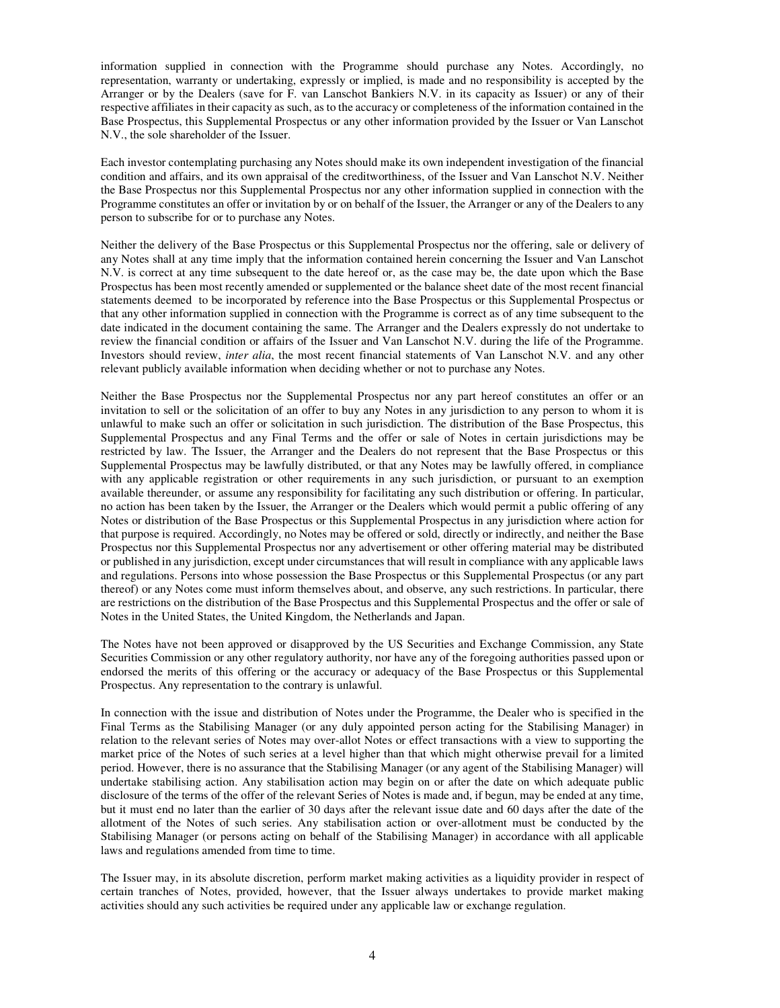information supplied in connection with the Programme should purchase any Notes. Accordingly, no representation, warranty or undertaking, expressly or implied, is made and no responsibility is accepted by the Arranger or by the Dealers (save for F. van Lanschot Bankiers N.V. in its capacity as Issuer) or any of their respective affiliates in their capacity as such, as to the accuracy or completeness of the information contained in the Base Prospectus, this Supplemental Prospectus or any other information provided by the Issuer or Van Lanschot N.V., the sole shareholder of the Issuer.

Each investor contemplating purchasing any Notes should make its own independent investigation of the financial condition and affairs, and its own appraisal of the creditworthiness, of the Issuer and Van Lanschot N.V. Neither the Base Prospectus nor this Supplemental Prospectus nor any other information supplied in connection with the Programme constitutes an offer or invitation by or on behalf of the Issuer, the Arranger or any of the Dealers to any person to subscribe for or to purchase any Notes.

Neither the delivery of the Base Prospectus or this Supplemental Prospectus nor the offering, sale or delivery of any Notes shall at any time imply that the information contained herein concerning the Issuer and Van Lanschot N.V. is correct at any time subsequent to the date hereof or, as the case may be, the date upon which the Base Prospectus has been most recently amended or supplemented or the balance sheet date of the most recent financial statements deemed to be incorporated by reference into the Base Prospectus or this Supplemental Prospectus or that any other information supplied in connection with the Programme is correct as of any time subsequent to the date indicated in the document containing the same. The Arranger and the Dealers expressly do not undertake to review the financial condition or affairs of the Issuer and Van Lanschot N.V. during the life of the Programme. Investors should review, *inter alia*, the most recent financial statements of Van Lanschot N.V. and any other relevant publicly available information when deciding whether or not to purchase any Notes.

Neither the Base Prospectus nor the Supplemental Prospectus nor any part hereof constitutes an offer or an invitation to sell or the solicitation of an offer to buy any Notes in any jurisdiction to any person to whom it is unlawful to make such an offer or solicitation in such jurisdiction. The distribution of the Base Prospectus, this Supplemental Prospectus and any Final Terms and the offer or sale of Notes in certain jurisdictions may be restricted by law. The Issuer, the Arranger and the Dealers do not represent that the Base Prospectus or this Supplemental Prospectus may be lawfully distributed, or that any Notes may be lawfully offered, in compliance with any applicable registration or other requirements in any such jurisdiction, or pursuant to an exemption available thereunder, or assume any responsibility for facilitating any such distribution or offering. In particular, no action has been taken by the Issuer, the Arranger or the Dealers which would permit a public offering of any Notes or distribution of the Base Prospectus or this Supplemental Prospectus in any jurisdiction where action for that purpose is required. Accordingly, no Notes may be offered or sold, directly or indirectly, and neither the Base Prospectus nor this Supplemental Prospectus nor any advertisement or other offering material may be distributed or published in any jurisdiction, except under circumstances that will result in compliance with any applicable laws and regulations. Persons into whose possession the Base Prospectus or this Supplemental Prospectus (or any part thereof) or any Notes come must inform themselves about, and observe, any such restrictions. In particular, there are restrictions on the distribution of the Base Prospectus and this Supplemental Prospectus and the offer or sale of Notes in the United States, the United Kingdom, the Netherlands and Japan.

The Notes have not been approved or disapproved by the US Securities and Exchange Commission, any State Securities Commission or any other regulatory authority, nor have any of the foregoing authorities passed upon or endorsed the merits of this offering or the accuracy or adequacy of the Base Prospectus or this Supplemental Prospectus. Any representation to the contrary is unlawful.

In connection with the issue and distribution of Notes under the Programme, the Dealer who is specified in the Final Terms as the Stabilising Manager (or any duly appointed person acting for the Stabilising Manager) in relation to the relevant series of Notes may over-allot Notes or effect transactions with a view to supporting the market price of the Notes of such series at a level higher than that which might otherwise prevail for a limited period. However, there is no assurance that the Stabilising Manager (or any agent of the Stabilising Manager) will undertake stabilising action. Any stabilisation action may begin on or after the date on which adequate public disclosure of the terms of the offer of the relevant Series of Notes is made and, if begun, may be ended at any time, but it must end no later than the earlier of 30 days after the relevant issue date and 60 days after the date of the allotment of the Notes of such series. Any stabilisation action or over-allotment must be conducted by the Stabilising Manager (or persons acting on behalf of the Stabilising Manager) in accordance with all applicable laws and regulations amended from time to time.

The Issuer may, in its absolute discretion, perform market making activities as a liquidity provider in respect of certain tranches of Notes, provided, however, that the Issuer always undertakes to provide market making activities should any such activities be required under any applicable law or exchange regulation.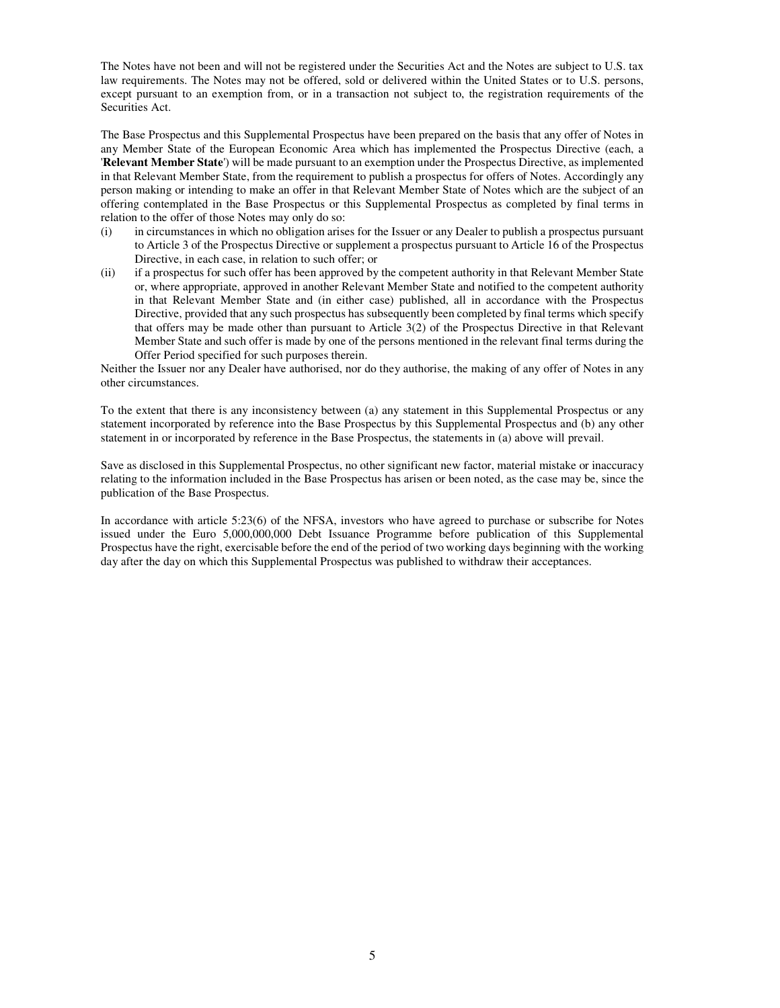The Notes have not been and will not be registered under the Securities Act and the Notes are subject to U.S. tax law requirements. The Notes may not be offered, sold or delivered within the United States or to U.S. persons, except pursuant to an exemption from, or in a transaction not subject to, the registration requirements of the Securities Act.

The Base Prospectus and this Supplemental Prospectus have been prepared on the basis that any offer of Notes in any Member State of the European Economic Area which has implemented the Prospectus Directive (each, a '**Relevant Member State**') will be made pursuant to an exemption under the Prospectus Directive, as implemented in that Relevant Member State, from the requirement to publish a prospectus for offers of Notes. Accordingly any person making or intending to make an offer in that Relevant Member State of Notes which are the subject of an offering contemplated in the Base Prospectus or this Supplemental Prospectus as completed by final terms in relation to the offer of those Notes may only do so:

- (i) in circumstances in which no obligation arises for the Issuer or any Dealer to publish a prospectus pursuant to Article 3 of the Prospectus Directive or supplement a prospectus pursuant to Article 16 of the Prospectus Directive, in each case, in relation to such offer; or
- (ii) if a prospectus for such offer has been approved by the competent authority in that Relevant Member State or, where appropriate, approved in another Relevant Member State and notified to the competent authority in that Relevant Member State and (in either case) published, all in accordance with the Prospectus Directive, provided that any such prospectus has subsequently been completed by final terms which specify that offers may be made other than pursuant to Article 3(2) of the Prospectus Directive in that Relevant Member State and such offer is made by one of the persons mentioned in the relevant final terms during the Offer Period specified for such purposes therein.

Neither the Issuer nor any Dealer have authorised, nor do they authorise, the making of any offer of Notes in any other circumstances.

To the extent that there is any inconsistency between (a) any statement in this Supplemental Prospectus or any statement incorporated by reference into the Base Prospectus by this Supplemental Prospectus and (b) any other statement in or incorporated by reference in the Base Prospectus, the statements in (a) above will prevail.

Save as disclosed in this Supplemental Prospectus, no other significant new factor, material mistake or inaccuracy relating to the information included in the Base Prospectus has arisen or been noted, as the case may be, since the publication of the Base Prospectus.

In accordance with article 5:23(6) of the NFSA, investors who have agreed to purchase or subscribe for Notes issued under the Euro 5,000,000,000 Debt Issuance Programme before publication of this Supplemental Prospectus have the right, exercisable before the end of the period of two working days beginning with the working day after the day on which this Supplemental Prospectus was published to withdraw their acceptances.